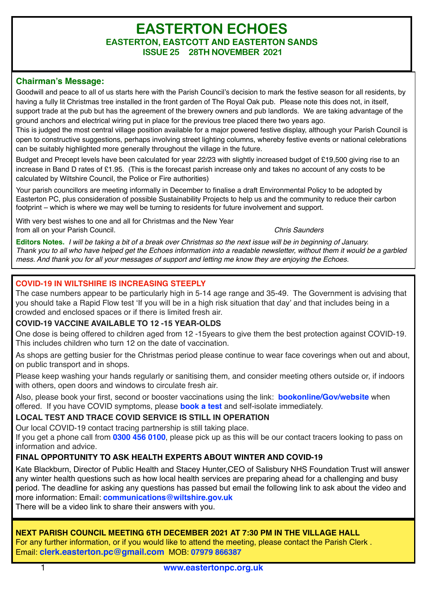# **EASTERTON ECHOES EASTERTON, EASTCOTT AND EASTERTON SANDS ISSUE 25 28TH NOVEMBER 2021**

# **Chairman's Message:**

Goodwill and peace to all of us starts here with the Parish Council's decision to mark the festive season for all residents, by having a fully lit Christmas tree installed in the front garden of The Royal Oak pub. Please note this does not, in itself, support trade at the pub but has the agreement of the brewery owners and pub landlords. We are taking advantage of the ground anchors and electrical wiring put in place for the previous tree placed there two years ago.

This is judged the most central village position available for a major powered festive display, although your Parish Council is open to constructive suggestions, perhaps involving street lighting columns, whereby festive events or national celebrations can be suitably highlighted more generally throughout the village in the future.

Budget and Precept levels have been calculated for year 22/23 with slightly increased budget of £19,500 giving rise to an increase in Band D rates of £1.95. (This is the forecast parish increase only and takes no account of any costs to be calculated by Wiltshire Council, the Police or Fire authorities)

Your parish councillors are meeting informally in December to finalise a draft Environmental Policy to be adopted by Easterton PC, plus consideration of possible Sustainability Projects to help us and the community to reduce their carbon footprint – which is where we may well be turning to residents for future involvement and support.

With very best wishes to one and all for Christmas and the New Year from all on your Parish Council. *Chris Saunders*

**Editors Notes.** *I will be taking a bit of a break over Christmas so the next issue will be in beginning of January. Thank you to all who have helped get the Echoes information into a readable newsletter, without them it would be a garbled mess. And thank you for all your messages of support and letting me know they are enjoying the Echoes.* 

## **COVID-19 IN WILTSHIRE IS INCREASING STEEPLY**

The case numbers appear to be particularly high in 5-14 age range and 35-49. The Government is advising that you should take a Rapid Flow test 'If you will be in a high risk situation that day' and that includes being in a crowded and enclosed spaces or if there is limited fresh air.

### **COVID-19 VACCINE AVAILABLE TO 12 -15 YEAR-OLDS**

One dose is being offered to children aged from 12 -15years to give them the best protection against COVID-19. This includes children who turn 12 on the date of vaccination.

As shops are getting busier for the Christmas period please continue to wear face coverings when out and about, on public transport and in shops.

Please keep washing your hands regularly or sanitising them, and consider meeting others outside or, if indoors with others, open doors and windows to circulate fresh air.

Also, please book your first, second or booster vaccinations using the link: **[bookonline/Gov/website](https://wiltshire.us5.list-manage.com/track/click?u=2883905f726c9fc694bef8b9e&id=101da3437e&e=98c7e020c7)** when offered. If you have COVID symptoms, please **[book a test](https://wiltshire.us5.list-manage.com/track/click?u=2883905f726c9fc694bef8b9e&id=b0102ffc18&e=98c7e020c7)** and self-isolate immediately.

# **LOCAL TEST AND TRACE COVID SERVICE IS STILL IN OPERATION**

Our local COVID-19 contact tracing partnership is still taking place.

If you get a phone call from **0300 456 0100**, please pick up as this will be our contact tracers looking to pass on information and advice.

# **FINAL OPPORTUNITY TO ASK HEALTH EXPERTS ABOUT WINTER AND COVID-19**

Kate Blackburn, Director of Public Health and Stacey Hunter,CEO of Salisbury NHS Foundation Trust will answer any winter health questions such as how local health services are preparing ahead for a challenging and busy period. The deadline for asking any questions has passed but email the following link to ask about the video and more information: Email: **[communications@wiltshire.gov.uk](mailto:communications@wiltshire.gov.uk)**

There will be a video link to share their answers with you.

### **NEXT PARISH COUNCIL MEETING 6TH DECEMBER 2021 AT 7:30 PM IN THE VILLAGE HALL**

For any further information, or if you would like to attend the meeting, please contact the Parish Clerk . Email: **[clerk.easterton.pc@gmail.com](mailto:clerk.easterton.pc@gmail.com)** MOB: **07979 866387**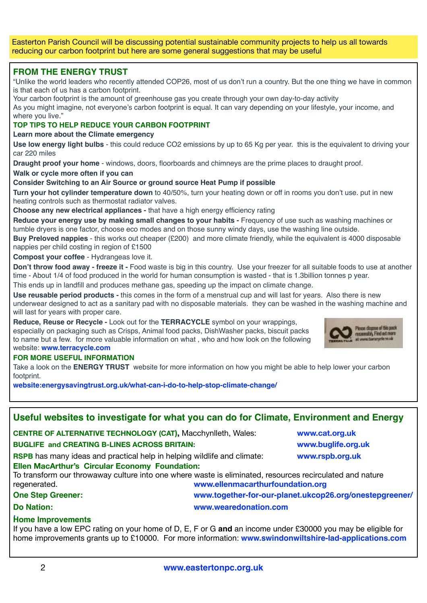Easterton Parish Council will be discussing potential sustainable community projects to help us all towards reducing our carbon footprint but here are some general suggestions that may be useful

## **FROM THE ENERGY TRUST**

"Unlike the world leaders who recently attended COP26, most of us don't run a country. But the one thing we have in common is that each of us has a carbon footprint.

Your carbon footprint is the amount of greenhouse gas you create through your own day-to-day activity

As you might imagine, not everyone's carbon footprint is equal. It can vary depending on your lifestyle, your income, and where you live."

#### **TOP TIPS TO HELP REDUCE YOUR CARBON FOOTPRINT**

**Learn more about the Climate emergency**

**Use low energy light bulbs** - this could reduce CO2 emissions by up to 65 Kg per year. this is the equivalent to driving your car 220 miles

**Draught proof your home** - windows, doors, floorboards and chimneys are the prime places to draught proof.

**Walk or cycle more often if you can** 

#### **Consider Switching to an Air Source or ground source Heat Pump if possible**

**Turn your hot cylinder temperature down** to 40/50%, turn your heating down or off in rooms you don't use. put in new heating controls such as thermostat radiator valves.

**Choose any new electrical appliances -** that have a high energy efficiency rating

**Reduce your energy use by making small changes to your habits -** Frequency of use such as washing machines or tumble dryers is one factor, choose eco modes and on those sunny windy days, use the washing line outside.

**Buy Preloved nappies** - this works out cheaper (£200) and more climate friendly, while the equivalent is 4000 disposable nappies per child costing in region of £1500

**Compost your coffee** - Hydrangeas love it.

**Don't throw food away - freeze it -** Food waste is big in this country. Use your freezer for all suitable foods to use at another time - About 1/4 of food produced in the world for human consumption is wasted - that is 1.3billion tonnes p year. This ends up in landfill and produces methane gas, speeding up the impact on climate change.

**Use reusable period products -** this comes in the form of a menstrual cup and will last for years. Also there is new underwear designed to act as a sanitary pad with no disposable materials. they can be washed in the washing machine and will last for years with proper care.

**Reduce, Reuse or Recycle -** Look out for the **TERRACYCLE** symbol on your wrappings, especially on packaging such as Crisps, Animal food packs, DishWasher packs, biscuit packs to name but a few. for more valuable information on what , who and how look on the following website: **[www.terracycle.com](http://www.terracycle.com)**

#### **FOR MORE USEFUL INFORMATION**

Take a look on the **ENERGY TRUST** website for more information on how you might be able to help lower your carbon footprint.

**[website:energysavingtrust.org.uk/what-can-i-do-to-help-stop-climate-change/](https://energysavingtrust.org.uk/what-can-i-do-to-help-stop-climate-change/)**

# **Useful websites to investigate for what you can do for Climate, Environment and Energy**

**CENTRE OF ALTERNATIVE TECHNOLOGY (CAT),** Macchynlleth, Wales: **[www.cat.org.uk](http://www.cat.org.uk)**

#### **BUGLIFE and CREATING B-LINES ACROSS BRITAIN: [www.buglife.org.uk](http://www.buglife.org.uk)**

**RSPB** has many ideas and practical help in helping wildlife and climate: **[www.rspb.org.uk](http://www.rspb.org.uk) Ellen MacArthur's Circular Economy Foundation:** 

To transform our throwaway culture into one where waste is eliminated, resources recirculated and nature regenerated. *networrestand manufoundation.org* **[www.ellenmacarthurfoundation.org](http://www.ellenmacarthurfoundation.org) One Step Greener: www.[together-for-our-planet.ukcop26.org/onestepgreener/](https://together-for-our-planet.ukcop26.org/onestepgreener/)**

### **Do Nation: www.wearedonation.com**

# **: Home Improvements**

If you have a low EPC rating on your home of D, E, F or G **and** an income under £30000 you may be eligible for home improvements grants up to £10000. For more information: **[www.swindonwiltshire-lad-applications.com](http://www.swindonwiltshire-lad-applications.com)**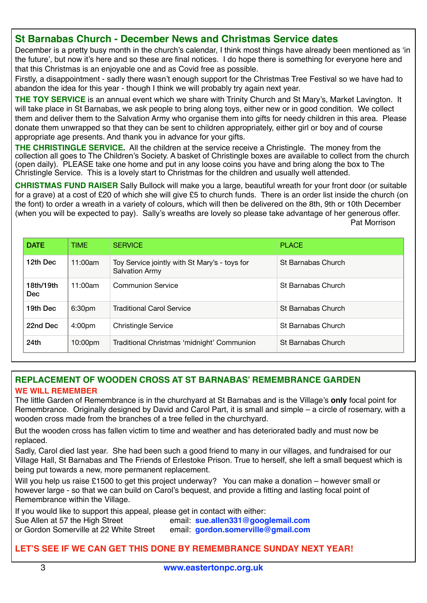# **St Barnabas Church - December News and Christmas Service dates**

December is a pretty busy month in the church's calendar, I think most things have already been mentioned as 'in the future', but now it's here and so these are final notices. I do hope there is something for everyone here and that this Christmas is an enjoyable one and as Covid free as possible.

Firstly, a disappointment - sadly there wasn't enough support for the Christmas Tree Festival so we have had to abandon the idea for this year - though I think we will probably try again next year.

**THE TOY SERVICE** is an annual event which we share with Trinity Church and St Mary's, Market Lavington. It will take place in St Barnabas, we ask people to bring along toys, either new or in good condition. We collect them and deliver them to the Salvation Army who organise them into gifts for needy children in this area. Please donate them unwrapped so that they can be sent to children appropriately, either girl or boy and of course appropriate age presents. And thank you in advance for your gifts.

**THE CHRISTINGLE SERVICE.** All the children at the service receive a Christingle. The money from the collection all goes to The Children's Society. A basket of Christingle boxes are available to collect from the church (open daily). PLEASE take one home and put in any loose coins you have and bring along the box to The Christingle Service. This is a lovely start to Christmas for the children and usually well attended.

**CHRISTMAS FUND RAISER** Sally Bullock will make you a large, beautiful wreath for your front door (or suitable for a grave) at a cost of £20 of which she will give £5 to church funds. There is an order list inside the church (on the font) to order a wreath in a variety of colours, which will then be delivered on the 8th, 9th or 10th December (when you will be expected to pay). Sally's wreaths are lovely so please take advantage of her generous offer. Pat Morrison

| <b>DATE</b>             | TIME                | <b>SERVICE</b>                                                         | <b>PLACE</b>              |
|-------------------------|---------------------|------------------------------------------------------------------------|---------------------------|
| 12th Dec                | 11:00am             | Toy Service jointly with St Mary's - toys for<br><b>Salvation Army</b> | <b>St Barnabas Church</b> |
| 18th/19th<br><b>Dec</b> | 11:00am             | Communion Service                                                      | <b>St Barnabas Church</b> |
| 19th Dec                | 6:30 <sub>pm</sub>  | <b>Traditional Carol Service</b>                                       | <b>St Barnabas Church</b> |
| 22nd Dec                | 4:00 <sub>pm</sub>  | <b>Christingle Service</b>                                             | <b>St Barnabas Church</b> |
| 24th                    | 10:00 <sub>pm</sub> | Traditional Christmas 'midnight' Communion                             | <b>St Barnabas Church</b> |

# **REPLACEMENT OF WOODEN CROSS AT ST BARNABAS' REMEMBRANCE GARDEN WE WILL REMEMBER**

The little Garden of Remembrance is in the churchyard at St Barnabas and is the Village's **only** focal point for Remembrance. Originally designed by David and Carol Part, it is small and simple – a circle of rosemary, with a wooden cross made from the branches of a tree felled in the churchyard.

But the wooden cross has fallen victim to time and weather and has deteriorated badly and must now be replaced.

Sadly, Carol died last year. She had been such a good friend to many in our villages, and fundraised for our Village Hall, St Barnabas and The Friends of Erlestoke Prison. True to herself, she left a small bequest which is being put towards a new, more permanent replacement.

Will you help us raise £1500 to get this project underway? You can make a donation – however small or however large - so that we can build on Carol's bequest, and provide a fitting and lasting focal point of Remembrance within the Village.

If you would like to support this appeal, please get in contact with either:

Sue Allen at 57 the High Street email: **[sue.allen331@googlemail.com](mailto:sue.allen331@googlemail.com)** or Gordon Somerville at 22 White Street email: **[gordon.somerville@gmail.com](mailto:no_reply@apple.com)**

# **LET'S SEE IF WE CAN GET THIS DONE BY REMEMBRANCE SUNDAY NEXT YEAR!**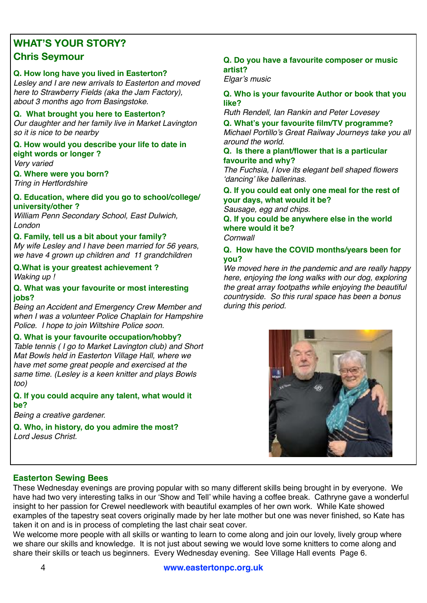# **WHAT'S YOUR STORY? Chris Seymour**

## **Q. How long have you lived in Easterton?**

*Lesley and I are new arrivals to Easterton and moved here to Strawberry Fields (aka the Jam Factory), about 3 months ago from Basingstoke.* 

#### **Q. What brought you here to Easterton?**

*Our daughter and her family live in Market Lavington so it is nice to be nearby*

# **Q. How would you describe your life to date in eight words or longer ?**

*Very varied*

# **Q. Where were you born?**

*Tring in Hertfordshire*

#### **Q. Education, where did you go to school/college/ university/other ?**

*William Penn Secondary School, East Dulwich, London*

#### **Q. Family, tell us a bit about your family?**

*My wife Lesley and I have been married for 56 years, we have 4 grown up children and 11 grandchildren* 

#### **Q.What is your greatest achievement ?**  *Waking up !*

#### **Q. What was your favourite or most interesting jobs?**

*Being an Accident and Emergency Crew Member and when I was a volunteer Police Chaplain for Hampshire Police. I hope to join Wiltshire Police soon.* 

#### **Q. What is your favourite occupation/hobby?**

*Table tennis ( I go to Market Lavington club) and Short Mat Bowls held in Easterton Village Hall, where we have met some great people and exercised at the same time. (Lesley is a keen knitter and plays Bowls too)*

#### **Q. If you could acquire any talent, what would it be?**

*Being a creative gardener.*

**Q. Who, in history, do you admire the most?** *Lord Jesus Christ.*

#### **Q. Do you have a favourite composer or music artist?**

*Elgar's music* 

#### **Q. Who is your favourite Author or book that you like?**

*Ruth Rendell, Ian Rankin and Peter Lovesey*

**Q. What's your favourite film/TV programme?** *Michael Portillo's Great Railway Journeys take you all around the world.*

#### **Q. Is there a plant/flower that is a particular favourite and why?**

*The Fuchsia, I love its elegant bell shaped flowers 'dancing' like ballerinas.* 

#### **Q. If you could eat only one meal for the rest of your days, what would it be?**

*Sausage, egg and chips.*

**Q. If you could be anywhere else in the world where would it be?** *Cornwall* 

## **Q. How have the COVID months/years been for you?**

*We moved here in the pandemic and are really happy here, enjoying the long walks with our dog, exploring the great array footpaths while enjoying the beautiful countryside. So this rural space has been a bonus during this period.* 



# **Easterton Sewing Bees**

These Wednesday evenings are proving popular with so many different skills being brought in by everyone. We have had two very interesting talks in our 'Show and Tell' while having a coffee break. Cathryne gave a wonderful insight to her passion for Crewel needlework with beautiful examples of her own work. While Kate showed examples of the tapestry seat covers originally made by her late mother but one was never finished, so Kate has taken it on and is in process of completing the last chair seat cover.

We welcome more people with all skills or wanting to learn to come along and join our lovely, lively group where we share our skills and knowledge. It is not just about sewing we would love some knitters to come along and share their skills or teach us beginners. Every Wednesday evening. See Village Hall events Page 6.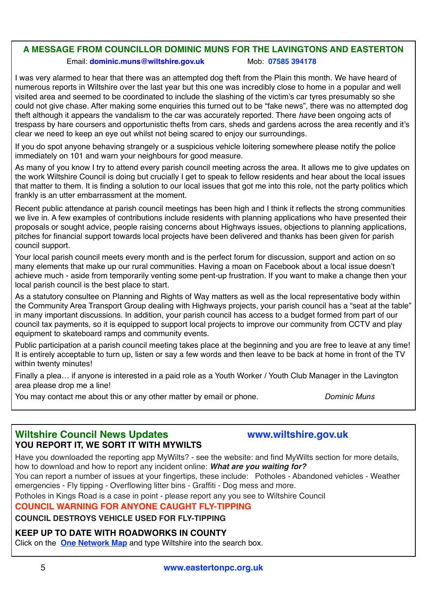# **A MESSAGE FROM COUNCILLOR DOMINIC MUNS FOR THE LAVINGTONS AND EASTERTON**

#### Email: **[dominic.muns@wiltshire.gov.uk](mailto:dominic.muns@wiltshire.gov.uk)** Mob: **07585 394178**

I was very alarmed to hear that there was an attempted dog theft from the Plain this month. We have heard of numerous reports in Wiltshire over the last year but this one was incredibly close to home in a popular and well visited area and seemed to be coordinated to include the slashing of the victim's car tyres presumably so she could not give chase. After making some enquiries this turned out to be "fake news", there was no attempted dog theft although it appears the vandalism to the car was accurately reported. There *have* been ongoing acts of trespass by hare coursers and opportunistic thefts from cars, sheds and gardens across the area recently and it's clear we need to keep an eye out whilst not being scared to enjoy our surroundings.

If you do spot anyone behaving strangely or a suspicious vehicle loitering somewhere please notify the police immediately on 101 and warn your neighbours for good measure.

As many of you know I try to attend every parish council meeting across the area. It allows me to give updates on the work Wiltshire Council is doing but crucially I get to speak to fellow residents and hear about the local issues that matter to them. It is finding a solution to our local issues that got me into this role, not the party politics which frankly is an utter embarrassment at the moment.

Recent public attendance at parish council meetings has been high and I think it reflects the strong communities we live in. A few examples of contributions include residents with planning applications who have presented their proposals or sought advice, people raising concerns about Highways issues, objections to planning applications, pitches for financial support towards local projects have been delivered and thanks has been given for parish council support.

Your local parish council meets every month and is the perfect forum for discussion, support and action on so many elements that make up our rural communities. Having a moan on Facebook about a local issue doesn't achieve much - aside from temporarily venting some pent-up frustration. If you want to make a change then your local parish council is the best place to start.

As a statutory consultee on Planning and Rights of Way matters as well as the local representative body within the Community Area Transport Group dealing with Highways projects, your parish council has a "seat at the table" in many important discussions. In addition, your parish council has access to a budget formed from part of our council tax payments, so it is equipped to support local projects to improve our community from CCTV and play equipment to skateboard ramps and community events.

Public participation at a parish council meeting takes place at the beginning and you are free to leave at any time! It is entirely acceptable to turn up, listen or say a few words and then leave to be back at home in front of the TV within twenty minutes!

Finally a plea… if anyone is interested in a paid role as a Youth Worker / Youth Club Manager in the Lavington area please drop me a line!

You may contact me about this or any other matter by email or phone. *Dominic Muns*

# **Wiltshire Council News Updates [www.wiltshire.gov.uk](http://www.wiltshire.gov.uk) YOU REPORT IT, WE SORT IT WITH MYWILTS**

Have you downloaded the reporting app MyWilts? - see the website: and find MyWilts section for more details, how to download and how to report any incident online: *What are you waiting for?* 

You can report a number of issues at your fingertips, these include: Potholes - Abandoned vehicles - Weather emergencies - Fly tipping - Overflowing litter bins - Graffiti - Dog mess and more.

Potholes in Kings Road is a case in point - please report any you see to Wiltshire Council

# **COUNCIL WARNING FOR ANYONE CAUGHT FLY-TIPPING**

**COUNCIL DESTROYS VEHICLE USED FOR FLY-TIPPING** 

# **KEEP UP TO DATE WITH ROADWORKS IN COUNTY**

Click on the **[One Network Map](https://wiltshire.us5.list-manage.com/track/click?u=2883905f726c9fc694bef8b9e&id=5d7cecf1ef&e=98c7e020c7)** and type Wiltshire into the search box.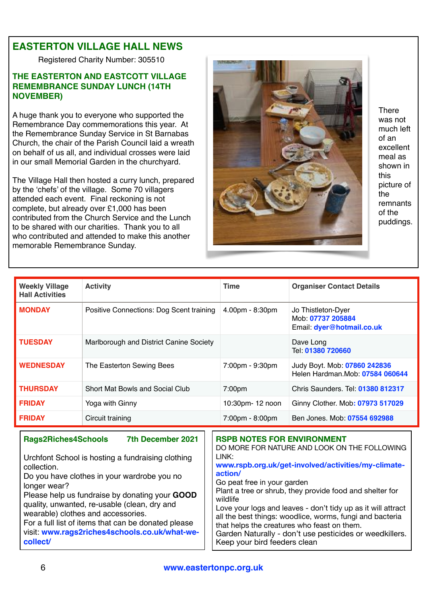# **EASTERTON VILLAGE HALL NEWS**

Registered Charity Number: 305510

# **THE EASTERTON AND EASTCOTT VILLAGE REMEMBRANCE SUNDAY LUNCH (14TH NOVEMBER)**

A huge thank you to everyone who supported the Remembrance Day commemorations this year. At the Remembrance Sunday Service in St Barnabas Church, the chair of the Parish Council laid a wreath on behalf of us all, and individual crosses were laid in our small Memorial Garden in the churchyard.

The Village Hall then hosted a curry lunch, prepared by the 'chefs' of the village. Some 70 villagers attended each event. Final reckoning is not complete, but already over £1,000 has been contributed from the Church Service and the Lunch to be shared with our charities. Thank you to all who contributed and attended to make this another memorable Remembrance Sunday.



**There** was not much left of an excellent meal as shown in this picture of the remnants of the puddings.

| <b>Weekly Village</b><br><b>Hall Activities</b> | <b>Activity</b>                                                        | <b>Time</b>                                                                                | <b>Organiser Contact Details</b>                                     |
|-------------------------------------------------|------------------------------------------------------------------------|--------------------------------------------------------------------------------------------|----------------------------------------------------------------------|
| <b>MONDAY</b>                                   | Positive Connections: Dog Scent training                               | 4.00pm - 8:30pm                                                                            | Jo Thistleton-Dyer<br>Mob: 07737 205884<br>Email: dyer@hotmail.co.uk |
| <b>TUESDAY</b>                                  | Marlborough and District Canine Society                                |                                                                                            | Dave Long<br>Tel: 01380 720660                                       |
| <b>WEDNESDAY</b>                                | The Easterton Sewing Bees                                              | 7:00pm - 9:30pm                                                                            | Judy Boyt. Mob: 07860 242836<br>Helen Hardman. Mob: 07584 060644     |
| <b>THURSDAY</b>                                 | Short Mat Bowls and Social Club                                        | 7:00pm                                                                                     | Chris Saunders. Tel: 01380 812317                                    |
| <b>FRIDAY</b>                                   | Yoga with Ginny                                                        | 10:30pm- 12 noon                                                                           | Ginny Clother. Mob: 07973 517029                                     |
| <b>FRIDAY</b>                                   | Circuit training                                                       | 7:00pm - 8:00pm                                                                            | Ben Jones. Mob: 07554 692988                                         |
| <b>Rags2Riches4Schools</b>                      | 7th December 2021<br>Urchfont School is hosting a fundraising clothing | <b>RSPB NOTES FOR ENVIRONMENT</b><br>DO MORE FOR NATURE AND LOOK ON THE FOLLOWING<br>LINK: |                                                                      |

collection.

Do you have clothes in your wardrobe you no longer wear?

Please help us fundraise by donating your **GOOD** quality, unwanted, re-usable (clean, dry and wearable) clothes and accessories. For a full list of items that can be donated please

visit: **[www.rags2riches4schools.co.uk/what-we](http://www.rags2riches4schools.co.uk/what-we-collect/)[collect/](http://www.rags2riches4schools.co.uk/what-we-collect/)**

**[www.rspb.org.uk/get-involved/activities/my-climate](https://www.rspb.org.uk/get-involved/activities/my-climate-action/)[action/](https://www.rspb.org.uk/get-involved/activities/my-climate-action/)**  Go peat free in your garden Plant a tree or shrub, they provide food and shelter for wildlife

Love your logs and leaves - don't tidy up as it will attract all the best things: woodlice, worms, fungi and bacteria that helps the creatures who feast on them. Garden Naturally - don't use pesticides or weedkillers. Keep your bird feeders clean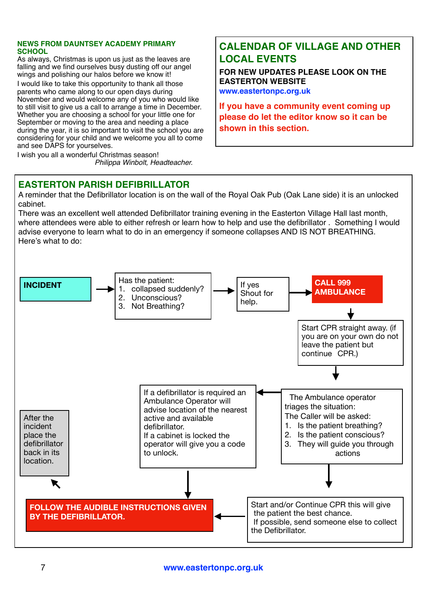#### **NEWS FROM DAUNTSEY ACADEMY PRIMARY SCHOOL**

As always, Christmas is upon us just as the leaves are falling and we find ourselves busy dusting off our angel wings and polishing our halos before we know it!

I would like to take this opportunity to thank all those parents who came along to our open days during November and would welcome any of you who would like to still visit to give us a call to arrange a time in December. Whether you are choosing a school for your little one for September or moving to the area and needing a place during the year, it is so important to visit the school you are considering for your child and we welcome you all to come and see DAPS for yourselves.

I wish you all a wonderful Christmas season!

*Philippa Winbolt, Headteacher.*

# **CALENDAR OF VILLAGE AND OTHER LOCAL EVENTS**

**FOR NEW UPDATES PLEASE LOOK ON THE EASTERTON WEBSITE [www.eastertonpc.org.uk](http://www.eastertonpc.org.uk)**

**If you have a community event coming up please do let the editor know so it can be shown in this section.** 

# **EASTERTON PARISH DEFIBRILLATOR**

A reminder that the Defibrillator location is on the wall of the Royal Oak Pub (Oak Lane side) it is an unlocked cabinet.

There was an excellent well attended Defibrillator training evening in the Easterton Village Hall last month, where attendees were able to either refresh or learn how to help and use the defibrillator . Something I would advise everyone to learn what to do in an emergency if someone collapses AND IS NOT BREATHING. Here's what to do: